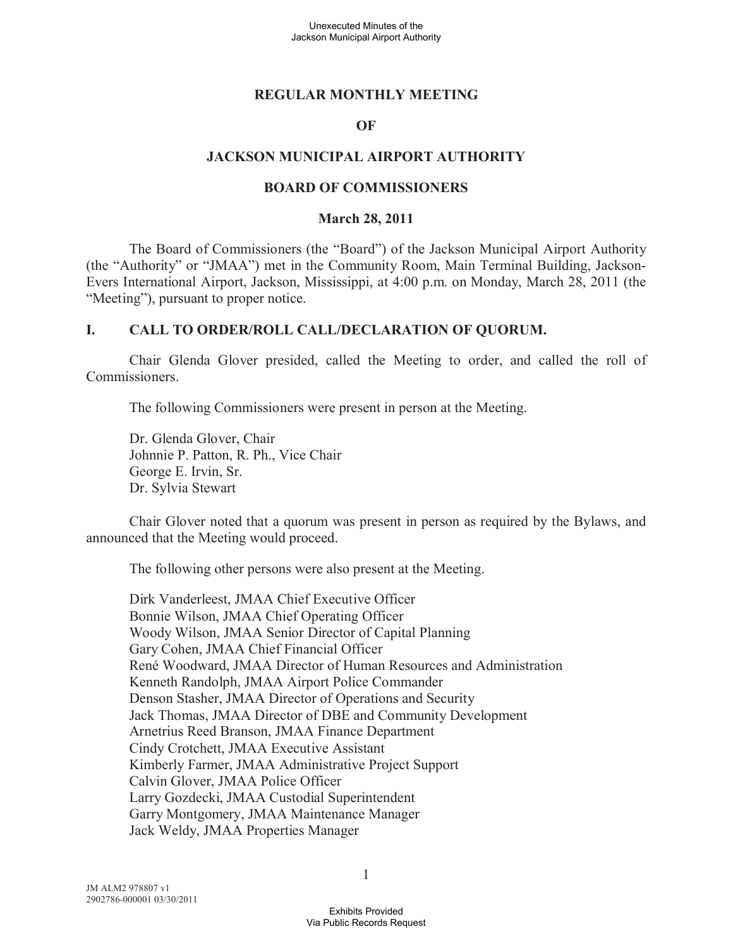#### **REGULAR MONTHLY MEETING**

#### **OF**

#### **JACKSON MUNICIPAL AIRPORT AUTHORITY**

#### **BOARD OF COMMISSIONERS**

#### **March 28, 2011**

The Board of Commissioners (the "Board") of the Jackson Municipal Airport Authority (the "Authority" or "JMAA") met in the Community Room, Main Terminal Building, Jackson-Evers International Airport, Jackson, Mississippi, at 4:00 p.m. on Monday, March 28, 2011 (the "Meeting"), pursuant to proper notice.

#### **I. CALL TO ORDER/ROLL CALL/DECLARATION OF QUORUM.**

Chair Glenda Glover presided, called the Meeting to order, and called the roll of Commissioners.

The following Commissioners were present in person at the Meeting.

Dr. Glenda Glover, Chair Johnnie P. Patton, R. Ph., Vice Chair George E. Irvin, Sr. Dr. Sylvia Stewart

Chair Glover noted that a quorum was present in person as required by the Bylaws, and announced that the Meeting would proceed.

The following other persons were also present at the Meeting.

Dirk Vanderleest, JMAA Chief Executive Officer Bonnie Wilson, JMAA Chief Operating Officer Woody Wilson, JMAA Senior Director of Capital Planning Gary Cohen, JMAA Chief Financial Officer René Woodward, JMAA Director of Human Resources and Administration Kenneth Randolph, JMAA Airport Police Commander Denson Stasher, JMAA Director of Operations and Security Jack Thomas, JMAA Director of DBE and Community Development Arnetrius Reed Branson, JMAA Finance Department Cindy Crotchett, JMAA Executive Assistant Kimberly Farmer, JMAA Administrative Project Support Calvin Glover, JMAA Police Officer Larry Gozdecki, JMAA Custodial Superintendent Garry Montgomery, JMAA Maintenance Manager Jack Weldy, JMAA Properties Manager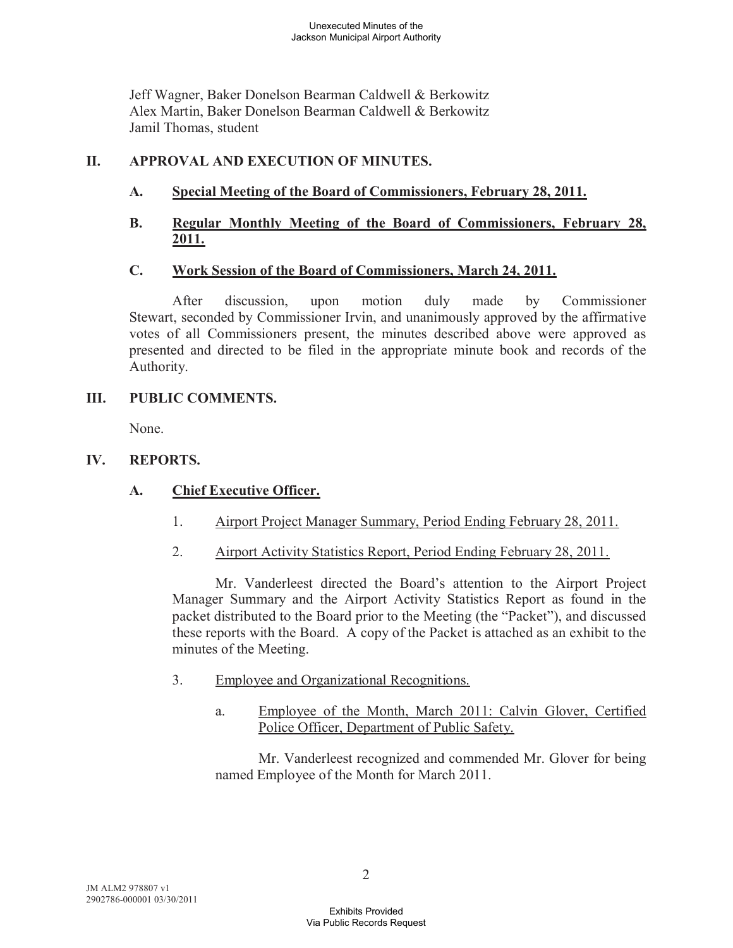Jeff Wagner, Baker Donelson Bearman Caldwell & Berkowitz Alex Martin, Baker Donelson Bearman Caldwell & Berkowitz Jamil Thomas, student

# **II. APPROVAL AND EXECUTION OF MINUTES.**

# **A. Special Meeting of the Board of Commissioners, February 28, 2011.**

# **B. Regular Monthly Meeting of the Board of Commissioners, February 28, 2011.**

### **C. Work Session of the Board of Commissioners, March 24, 2011.**

After discussion, upon motion duly made by Commissioner Stewart, seconded by Commissioner Irvin, and unanimously approved by the affirmative votes of all Commissioners present, the minutes described above were approved as presented and directed to be filed in the appropriate minute book and records of the Authority.

### **III. PUBLIC COMMENTS.**

None.

# **IV. REPORTS.**

# **A. Chief Executive Officer.**

- 1. Airport Project Manager Summary, Period Ending February 28, 2011.
- 2. Airport Activity Statistics Report, Period Ending February 28, 2011.

Mr. Vanderleest directed the Board's attention to the Airport Project Manager Summary and the Airport Activity Statistics Report as found in the packet distributed to the Board prior to the Meeting (the "Packet"), and discussed these reports with the Board. A copy of the Packet is attached as an exhibit to the minutes of the Meeting.

- 3. Employee and Organizational Recognitions.
	- a. Employee of the Month, March 2011: Calvin Glover, Certified Police Officer, Department of Public Safety.

Mr. Vanderleest recognized and commended Mr. Glover for being named Employee of the Month for March 2011.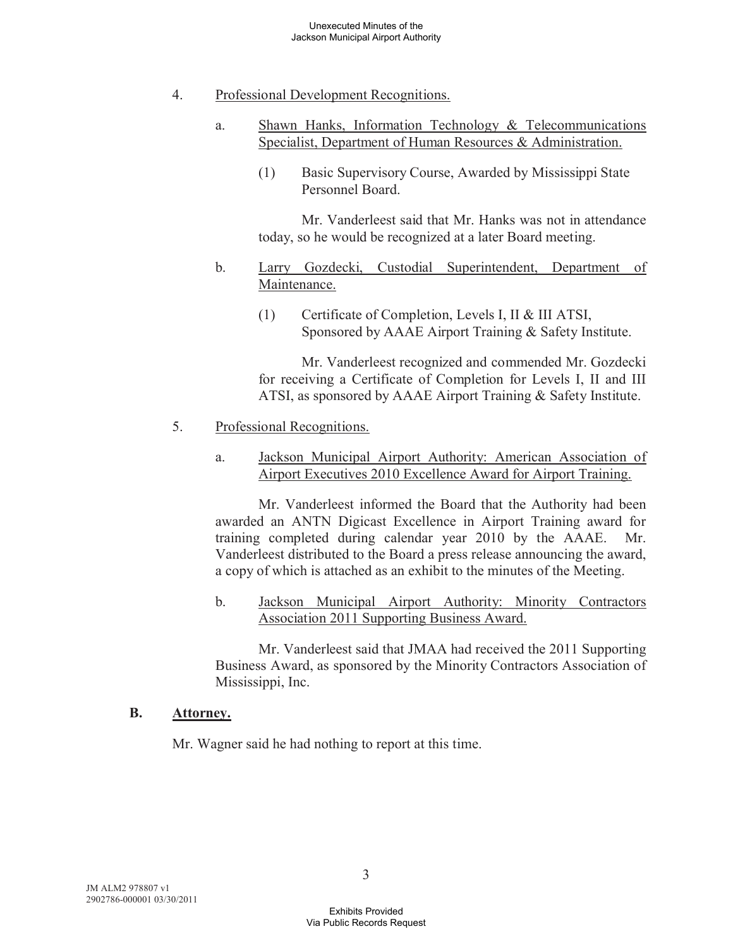- 4. Professional Development Recognitions.
	- a. Shawn Hanks, Information Technology & Telecommunications Specialist, Department of Human Resources & Administration.
		- (1) Basic Supervisory Course, Awarded by Mississippi State Personnel Board.

Mr. Vanderleest said that Mr. Hanks was not in attendance today, so he would be recognized at a later Board meeting.

- b. Larry Gozdecki, Custodial Superintendent, Department of Maintenance.
	- (1) Certificate of Completion, Levels I, II & III ATSI, Sponsored by AAAE Airport Training & Safety Institute.

Mr. Vanderleest recognized and commended Mr. Gozdecki for receiving a Certificate of Completion for Levels I, II and III ATSI, as sponsored by AAAE Airport Training & Safety Institute.

### 5. Professional Recognitions.

a. Jackson Municipal Airport Authority: American Association of Airport Executives 2010 Excellence Award for Airport Training.

Mr. Vanderleest informed the Board that the Authority had been awarded an ANTN Digicast Excellence in Airport Training award for training completed during calendar year 2010 by the AAAE. Mr. Vanderleest distributed to the Board a press release announcing the award, a copy of which is attached as an exhibit to the minutes of the Meeting.

b. Jackson Municipal Airport Authority: Minority Contractors Association 2011 Supporting Business Award.

Mr. Vanderleest said that JMAA had received the 2011 Supporting Business Award, as sponsored by the Minority Contractors Association of Mississippi, Inc.

### **B. Attorney.**

Mr. Wagner said he had nothing to report at this time.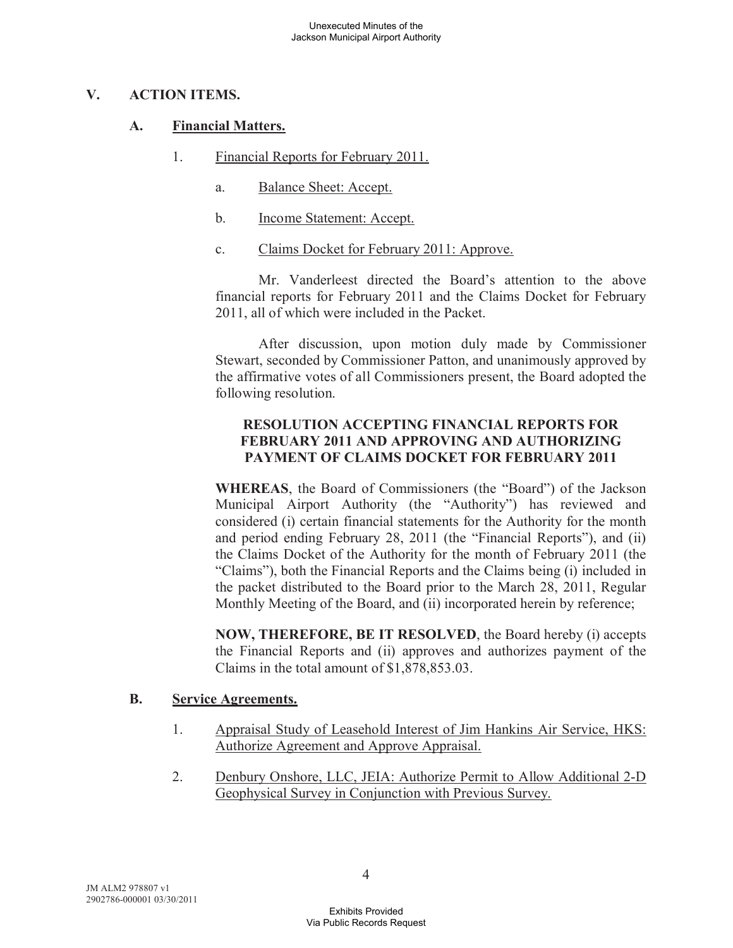### **V. ACTION ITEMS.**

# **A. Financial Matters.**

- 1. Financial Reports for February 2011.
	- a. Balance Sheet: Accept.
	- b. Income Statement: Accept.
	- c. Claims Docket for February 2011: Approve.

Mr. Vanderleest directed the Board's attention to the above financial reports for February 2011 and the Claims Docket for February 2011, all of which were included in the Packet.

After discussion, upon motion duly made by Commissioner Stewart, seconded by Commissioner Patton, and unanimously approved by the affirmative votes of all Commissioners present, the Board adopted the following resolution.

# **RESOLUTION ACCEPTING FINANCIAL REPORTS FOR FEBRUARY 2011 AND APPROVING AND AUTHORIZING PAYMENT OF CLAIMS DOCKET FOR FEBRUARY 2011**

**WHEREAS**, the Board of Commissioners (the "Board") of the Jackson Municipal Airport Authority (the "Authority") has reviewed and considered (i) certain financial statements for the Authority for the month and period ending February 28, 2011 (the "Financial Reports"), and (ii) the Claims Docket of the Authority for the month of February 2011 (the "Claims"), both the Financial Reports and the Claims being (i) included in the packet distributed to the Board prior to the March 28, 2011, Regular Monthly Meeting of the Board, and (ii) incorporated herein by reference;

**NOW, THEREFORE, BE IT RESOLVED**, the Board hereby (i) accepts the Financial Reports and (ii) approves and authorizes payment of the Claims in the total amount of \$1,878,853.03.

### **B. Service Agreements.**

- 1. Appraisal Study of Leasehold Interest of Jim Hankins Air Service, HKS: Authorize Agreement and Approve Appraisal.
- 2. Denbury Onshore, LLC, JEIA: Authorize Permit to Allow Additional 2-D Geophysical Survey in Conjunction with Previous Survey.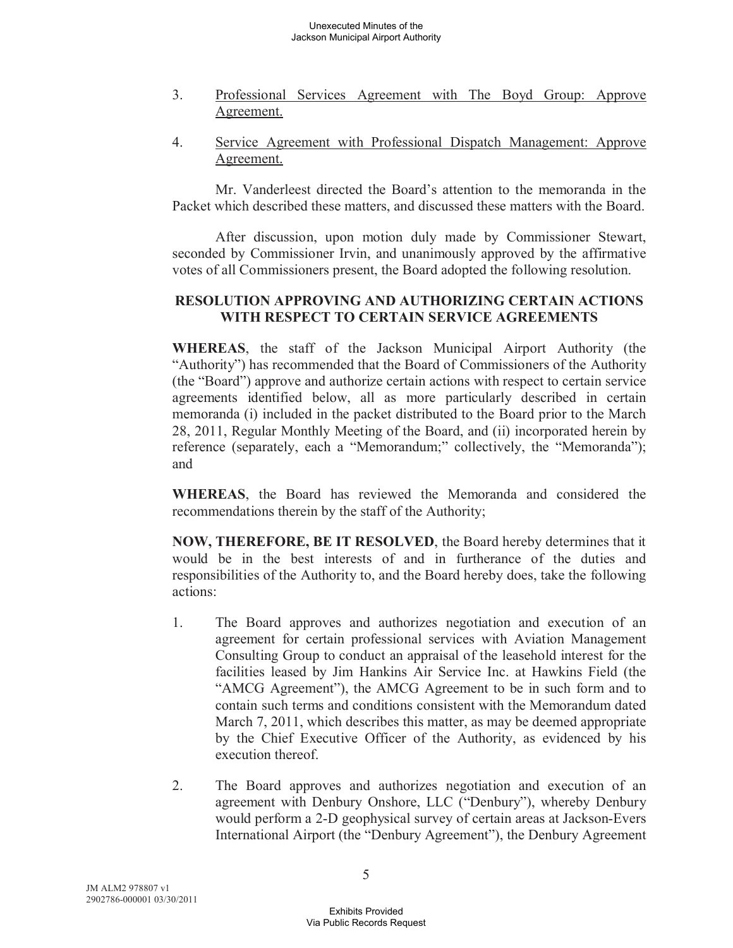- 3. Professional Services Agreement with The Boyd Group: Approve Agreement.
- 4. Service Agreement with Professional Dispatch Management: Approve Agreement.

Mr. Vanderleest directed the Board's attention to the memoranda in the Packet which described these matters, and discussed these matters with the Board.

After discussion, upon motion duly made by Commissioner Stewart, seconded by Commissioner Irvin, and unanimously approved by the affirmative votes of all Commissioners present, the Board adopted the following resolution.

# **RESOLUTION APPROVING AND AUTHORIZING CERTAIN ACTIONS WITH RESPECT TO CERTAIN SERVICE AGREEMENTS**

**WHEREAS**, the staff of the Jackson Municipal Airport Authority (the "Authority") has recommended that the Board of Commissioners of the Authority (the "Board") approve and authorize certain actions with respect to certain service agreements identified below, all as more particularly described in certain memoranda (i) included in the packet distributed to the Board prior to the March 28, 2011, Regular Monthly Meeting of the Board, and (ii) incorporated herein by reference (separately, each a "Memorandum;" collectively, the "Memoranda"); and

**WHEREAS**, the Board has reviewed the Memoranda and considered the recommendations therein by the staff of the Authority;

**NOW, THEREFORE, BE IT RESOLVED**, the Board hereby determines that it would be in the best interests of and in furtherance of the duties and responsibilities of the Authority to, and the Board hereby does, take the following actions:

- 1. The Board approves and authorizes negotiation and execution of an agreement for certain professional services with Aviation Management Consulting Group to conduct an appraisal of the leasehold interest for the facilities leased by Jim Hankins Air Service Inc. at Hawkins Field (the "AMCG Agreement"), the AMCG Agreement to be in such form and to contain such terms and conditions consistent with the Memorandum dated March 7, 2011, which describes this matter, as may be deemed appropriate by the Chief Executive Officer of the Authority, as evidenced by his execution thereof.
- 2. The Board approves and authorizes negotiation and execution of an agreement with Denbury Onshore, LLC ("Denbury"), whereby Denbury would perform a 2-D geophysical survey of certain areas at Jackson-Evers International Airport (the "Denbury Agreement"), the Denbury Agreement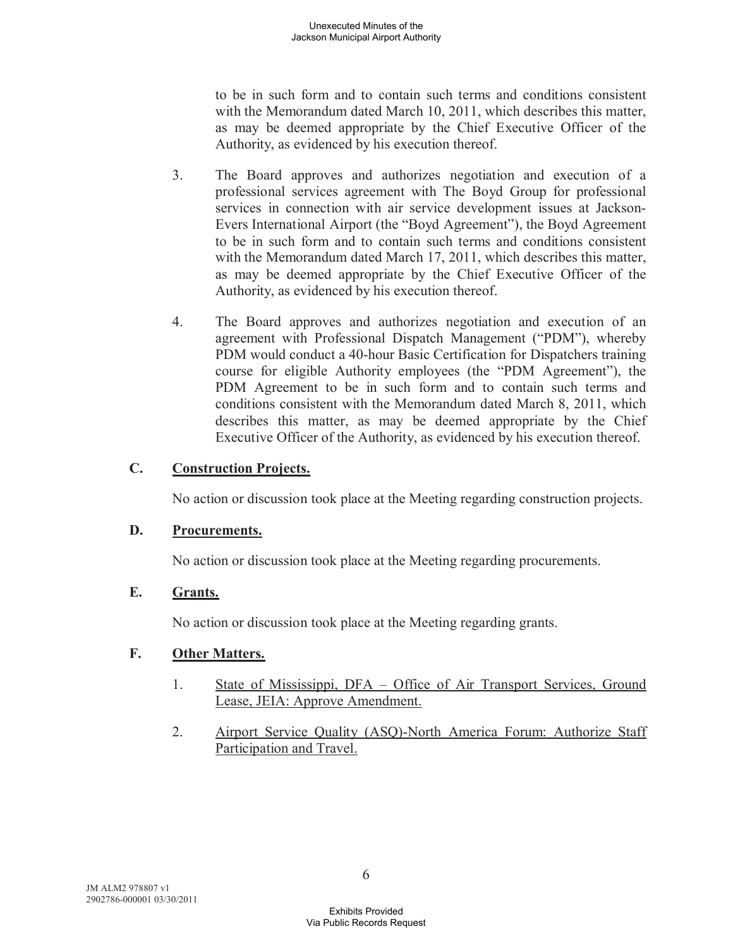to be in such form and to contain such terms and conditions consistent with the Memorandum dated March 10, 2011, which describes this matter, as may be deemed appropriate by the Chief Executive Officer of the Authority, as evidenced by his execution thereof.

- 3. The Board approves and authorizes negotiation and execution of a professional services agreement with The Boyd Group for professional services in connection with air service development issues at Jackson-Evers International Airport (the "Boyd Agreement"), the Boyd Agreement to be in such form and to contain such terms and conditions consistent with the Memorandum dated March 17, 2011, which describes this matter, as may be deemed appropriate by the Chief Executive Officer of the Authority, as evidenced by his execution thereof.
- 4. The Board approves and authorizes negotiation and execution of an agreement with Professional Dispatch Management ("PDM"), whereby PDM would conduct a 40-hour Basic Certification for Dispatchers training course for eligible Authority employees (the "PDM Agreement"), the PDM Agreement to be in such form and to contain such terms and conditions consistent with the Memorandum dated March 8, 2011, which describes this matter, as may be deemed appropriate by the Chief Executive Officer of the Authority, as evidenced by his execution thereof.

### **C. Construction Projects.**

No action or discussion took place at the Meeting regarding construction projects.

#### **D. Procurements.**

No action or discussion took place at the Meeting regarding procurements.

#### **E. Grants.**

No action or discussion took place at the Meeting regarding grants.

#### **F. Other Matters.**

- 1. State of Mississippi, DFA Office of Air Transport Services, Ground Lease, JEIA: Approve Amendment.
- 2. Airport Service Quality (ASQ)-North America Forum: Authorize Staff Participation and Travel.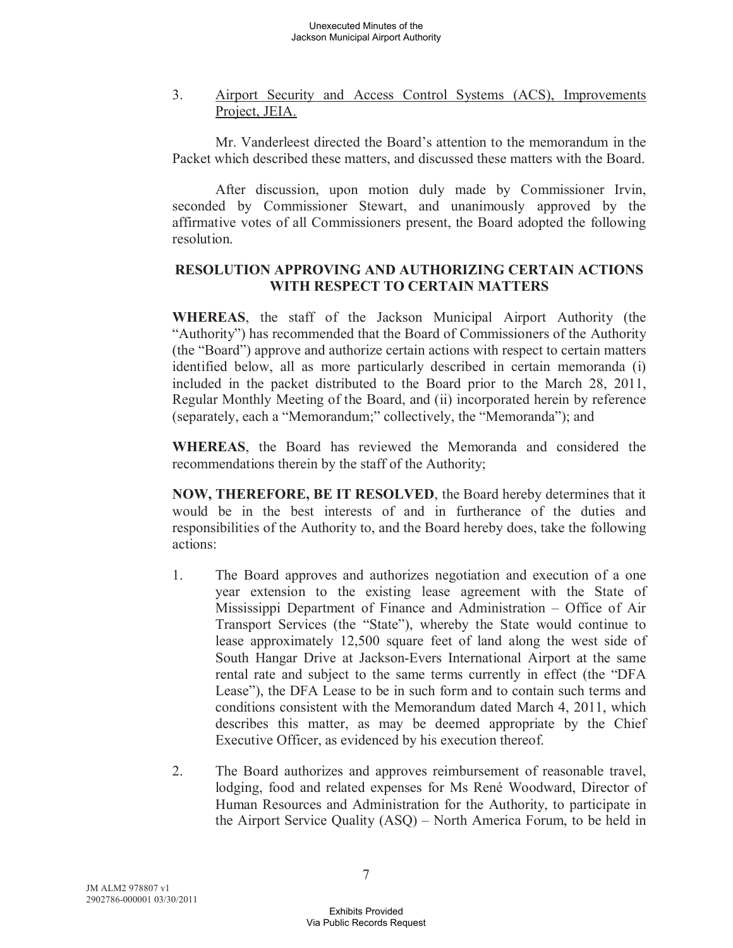3. Airport Security and Access Control Systems (ACS), Improvements Project, JEIA.

Mr. Vanderleest directed the Board's attention to the memorandum in the Packet which described these matters, and discussed these matters with the Board.

After discussion, upon motion duly made by Commissioner Irvin, seconded by Commissioner Stewart, and unanimously approved by the affirmative votes of all Commissioners present, the Board adopted the following resolution.

### **RESOLUTION APPROVING AND AUTHORIZING CERTAIN ACTIONS WITH RESPECT TO CERTAIN MATTERS**

**WHEREAS**, the staff of the Jackson Municipal Airport Authority (the "Authority") has recommended that the Board of Commissioners of the Authority (the "Board") approve and authorize certain actions with respect to certain matters identified below, all as more particularly described in certain memoranda (i) included in the packet distributed to the Board prior to the March 28, 2011, Regular Monthly Meeting of the Board, and (ii) incorporated herein by reference (separately, each a "Memorandum;" collectively, the "Memoranda"); and

**WHEREAS**, the Board has reviewed the Memoranda and considered the recommendations therein by the staff of the Authority;

**NOW, THEREFORE, BE IT RESOLVED**, the Board hereby determines that it would be in the best interests of and in furtherance of the duties and responsibilities of the Authority to, and the Board hereby does, take the following actions:

- 1. The Board approves and authorizes negotiation and execution of a one year extension to the existing lease agreement with the State of Mississippi Department of Finance and Administration – Office of Air Transport Services (the "State"), whereby the State would continue to lease approximately 12,500 square feet of land along the west side of South Hangar Drive at Jackson-Evers International Airport at the same rental rate and subject to the same terms currently in effect (the "DFA Lease"), the DFA Lease to be in such form and to contain such terms and conditions consistent with the Memorandum dated March 4, 2011, which describes this matter, as may be deemed appropriate by the Chief Executive Officer, as evidenced by his execution thereof.
- 2. The Board authorizes and approves reimbursement of reasonable travel, lodging, food and related expenses for Ms René Woodward, Director of Human Resources and Administration for the Authority, to participate in the Airport Service Quality (ASQ) – North America Forum, to be held in